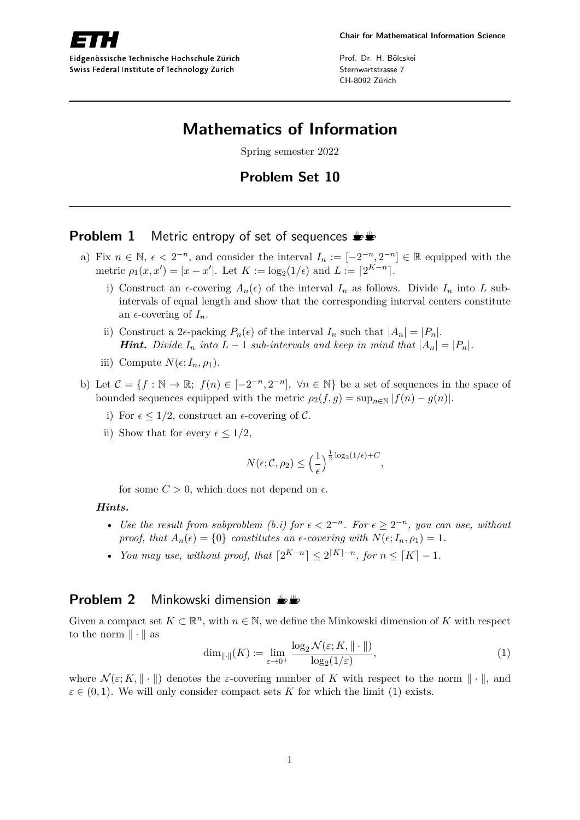

Eidgenössische Technische Hochschule Zürich Swiss Federal Institute of Technology Zurich

Prof. Dr. H. Bölcskei Sternwartstrasse 7 CH-8092 Zürich

# **Mathematics of Information**

Spring semester 2022

# **Problem Set 10**

## **Problem 1** Metric entropy of set of sequences  $\mathbf{L}$

- a) Fix  $n \in \mathbb{N}$ ,  $\epsilon < 2^{-n}$ , and consider the interval  $I_n := [-2^{-n}, 2^{-n}] \in \mathbb{R}$  equipped with the metric  $\rho_1(x, x') = |x - x'|$ . Let  $K := \log_2(1/\epsilon)$  and  $L := [2^{K-n}]$ .
	- i) Construct an  $\epsilon$ -covering  $A_n(\epsilon)$  of the interval  $I_n$  as follows. Divide  $I_n$  into  $L$  subintervals of equal length and show that the corresponding interval centers constitute an  $\epsilon$ -covering of  $I_n$ .
	- ii) Construct a 2 $\epsilon$ -packing  $P_n(\epsilon)$  of the interval  $I_n$  such that  $|A_n| = |P_n|$ . *Hint. Divide*  $I_n$  *into*  $L-1$  *sub-intervals and keep in mind that*  $|A_n| = |P_n|$ *.*
	- iii) Compute  $N(\epsilon; I_n, \rho_1)$ .
- b) Let  $\mathcal{C} = \{f : \mathbb{N} \to \mathbb{R}; f(n) \in [-2^{-n}, 2^{-n}], \forall n \in \mathbb{N}\}$  be a set of sequences in the space of bounded sequences equipped with the metric  $\rho_2(f, g) = \sup_{n \in \mathbb{N}} |f(n) - g(n)|$ .
	- i) For  $\epsilon \leq 1/2$ , construct an  $\epsilon$ -covering of C.
	- ii) Show that for every  $\epsilon \leq 1/2$ ,

$$
N(\epsilon; \mathcal{C}, \rho_2) \le \left(\frac{1}{\epsilon}\right)^{\frac{1}{2}\log_2(1/\epsilon) + C},
$$

for some  $C > 0$ , which does not depend on  $\epsilon$ .

#### *Hints.*

- Use the result from subproblem (b.i) for  $\epsilon < 2^{-n}$ . For  $\epsilon \geq 2^{-n}$ , you can use, without *proof, that*  $A_n(\epsilon) = \{0\}$  *constitutes an*  $\epsilon$ -covering with  $N(\epsilon; I_n, \rho_1) = 1$ .
- *You may use, without proof, that*  $[2^{K-n}] \leq 2^{\lceil K \rceil n}$ *, for*  $n \leq \lceil K \rceil 1$ *.*

### **Problem 2** Minkowski dimension  $\frac{1}{2}$

Given a compact set  $K \subset \mathbb{R}^n$ , with  $n \in \mathbb{N}$ , we define the Minkowski dimension of *K* with respect to the norm  $\|\cdot\|$  as

$$
\dim_{\|\cdot\|}(K) \coloneqq \lim_{\varepsilon \to 0^+} \frac{\log_2 \mathcal{N}(\varepsilon; K, \|\cdot\|)}{\log_2(1/\varepsilon)},\tag{1}
$$

where  $\mathcal{N}(\varepsilon; K, \|\cdot\|)$  denotes the *ε*-covering number of K with respect to the norm  $\|\cdot\|$ , and  $\varepsilon \in (0,1)$ . We will only consider compact sets *K* for which the limit (1) exists.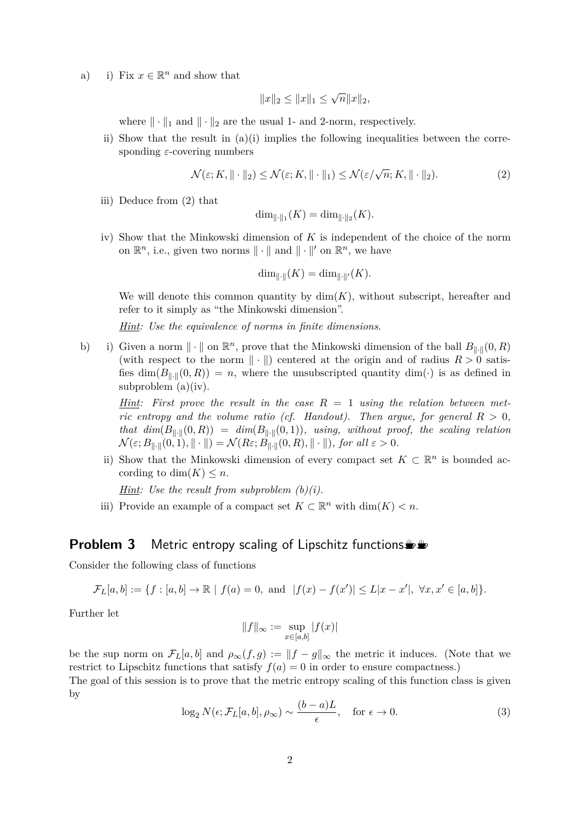a) i) Fix  $x \in \mathbb{R}^n$  and show that

$$
||x||_2 \le ||x||_1 \le \sqrt{n} ||x||_2,
$$

where  $\|\cdot\|_1$  and  $\|\cdot\|_2$  are the usual 1- and 2-norm, respectively.

ii) Show that the result in  $(a)(i)$  implies the following inequalities between the corresponding *ε*-covering numbers

$$
\mathcal{N}(\varepsilon; K, \|\cdot\|_2) \le \mathcal{N}(\varepsilon; K, \|\cdot\|_1) \le \mathcal{N}(\varepsilon/\sqrt{n}; K, \|\cdot\|_2). \tag{2}
$$

iii) Deduce from (2) that

$$
\dim_{\|\cdot\|_1}(K) = \dim_{\|\cdot\|_2}(K).
$$

iv) Show that the Minkowski dimension of *K* is independent of the choice of the norm on  $\mathbb{R}^n$ , i.e., given two norms  $\|\cdot\|$  and  $\|\cdot\|'$  on  $\mathbb{R}^n$ , we have

$$
\dim_{\|\cdot\|}(K) = \dim_{\|\cdot\|'}(K).
$$

We will denote this common quantity by  $\dim(K)$ , without subscript, hereafter and refer to it simply as "the Minkowski dimension".

*Hint: Use the equivalence of norms in finite dimensions*.

b) i) Given a norm  $\|\cdot\|$  on  $\mathbb{R}^n$ , prove that the Minkowski dimension of the ball  $B_{\|\cdot\|}(0,R)$ (with respect to the norm  $\|\cdot\|$ ) centered at the origin and of radius  $R > 0$  satisfies  $\dim(B_{\|\cdot\|}(0,R)) = n$ , where the unsubscripted quantity  $\dim(\cdot)$  is as defined in subproblem (a)(iv).

*Hint: First prove the result in the case R* = 1 *using the relation between metric entropy and the volume ratio (cf. Handout). Then argue, for general*  $R > 0$ , *that dim*( $B_{\|\cdot\|}(0,R)$ ) =  $dim(B_{\|\cdot\|}(0,1))$ *, using, without proof, the scaling relation*  $\mathcal{N}(\varepsilon; B_{\|\cdot\|}(0,1), \|\cdot\|) = \mathcal{N}(R\varepsilon; B_{\|\cdot\|}(0,R), \|\cdot\|)$ *, for all*  $\varepsilon > 0$ *.* 

ii) Show that the Minkowski dimension of every compact set  $K \subset \mathbb{R}^n$  is bounded according to dim $(K) \leq n$ .

*Hint: Use the result from subproblem (b)(i).*

iii) Provide an example of a compact set  $K \subset \mathbb{R}^n$  with  $\dim(K) < n$ .

### **Problem 3** Metric entropy scaling of Lipschitz functions

Consider the following class of functions

$$
\mathcal{F}_L[a, b] := \{ f : [a, b] \to \mathbb{R} \mid f(a) = 0, \text{ and } |f(x) - f(x')| \le L|x - x'|, \ \forall x, x' \in [a, b] \}.
$$

Further let

$$
||f||_{\infty} := \sup_{x \in [a,b]} |f(x)|
$$

be the sup norm on  $\mathcal{F}_L[a, b]$  and  $\rho_\infty(f, g) := ||f - g||_\infty$  the metric it induces. (Note that we restrict to Lipschitz functions that satisfy  $f(a) = 0$  in order to ensure compactness.)

The goal of this session is to prove that the metric entropy scaling of this function class is given by

$$
\log_2 N(\epsilon; \mathcal{F}_L[a, b], \rho_\infty) \sim \frac{(b-a)L}{\epsilon}, \quad \text{for } \epsilon \to 0.
$$
 (3)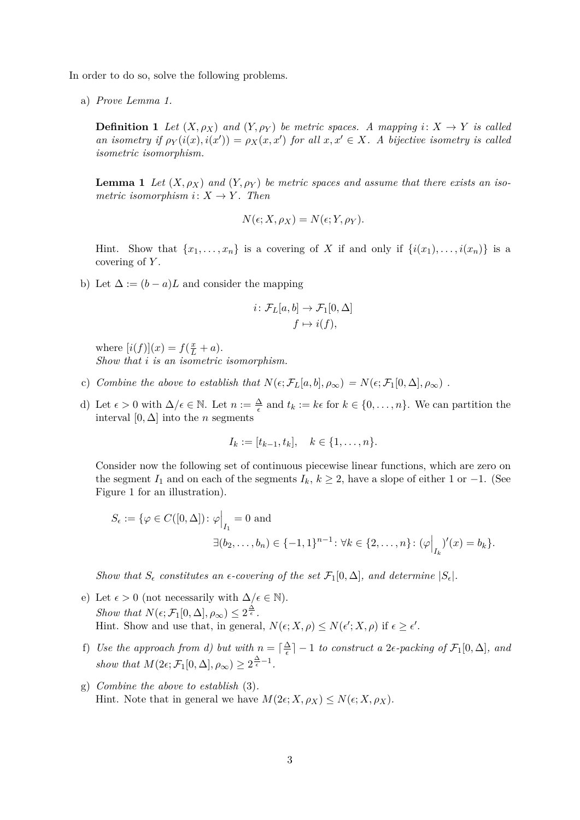In order to do so, solve the following problems.

a) *Prove Lemma 1.*

**Definition 1** *Let*  $(X, \rho_X)$  *and*  $(Y, \rho_Y)$  *be metric spaces. A mapping*  $i: X \to Y$  *is called an isometry if*  $\rho_Y(i(x), i(x')) = \rho_X(x, x')$  *for all*  $x, x' \in X$ *. A bijective isometry is called isometric isomorphism.*

**Lemma 1** Let  $(X, \rho_X)$  and  $(Y, \rho_Y)$  be metric spaces and assume that there exists an iso*metric isomorphism*  $i: X \rightarrow Y$ *. Then* 

$$
N(\epsilon; X, \rho_X) = N(\epsilon; Y, \rho_Y).
$$

Hint. Show that  $\{x_1, \ldots, x_n\}$  is a covering of *X* if and only if  $\{i(x_1), \ldots, i(x_n)\}$  is a covering of *Y* .

b) Let  $\Delta := (b - a)L$  and consider the mapping

$$
i\colon \mathcal{F}_L[a,b] \to \mathcal{F}_1[0,\Delta]
$$

$$
f \mapsto i(f),
$$

where  $[i(f)](x) = f(\frac{x}{L} + a)$ . *Show that i is an isometric isomorphism.*

- c) *Combine the above to establish that*  $N(\epsilon; \mathcal{F}_L[a, b], \rho_\infty) = N(\epsilon; \mathcal{F}_1[0, \Delta], \rho_\infty)$ .
- d) Let  $\epsilon > 0$  with  $\Delta/\epsilon \in \mathbb{N}$ . Let  $n := \frac{\Delta}{\epsilon}$  and  $t_k := k\epsilon$  for  $k \in \{0, \ldots, n\}$ . We can partition the interval  $[0, \Delta]$  into the *n* segments

$$
I_k := [t_{k-1}, t_k], \quad k \in \{1, \ldots, n\}.
$$

Consider now the following set of continuous piecewise linear functions, which are zero on the segment  $I_1$  and on each of the segments  $I_k$ ,  $k \geq 2$ , have a slope of either 1 or -1. (See Figure 1 for an illustration).

$$
S_{\epsilon} := \{ \varphi \in C([0, \Delta]) \colon \varphi \Big|_{I_1} = 0 \text{ and}
$$
  

$$
\exists (b_2, \dots, b_n) \in \{-1, 1\}^{n-1} \colon \forall k \in \{2, \dots, n\} \colon (\varphi \Big|_{I_k})'(x) = b_k \}.
$$

*Show that*  $S_{\epsilon}$  *constitutes an*  $\epsilon$ -covering of the set  $\mathcal{F}_1[0,\Delta]$ *, and determine*  $|S_{\epsilon}|$ *.* 

- e) Let  $\epsilon > 0$  (not necessarily with  $\Delta/\epsilon \in \mathbb{N}$ ). *Show that*  $N(\epsilon; \mathcal{F}_1[0,\Delta], \rho_\infty) \leq 2^{\frac{\Delta}{\epsilon}}$ . Hint. Show and use that, in general,  $N(\epsilon; X, \rho) \leq N(\epsilon'; X, \rho)$  if  $\epsilon \geq \epsilon'$ .
- f) Use the approach from d) but with  $n = \lceil \frac{\Delta}{\epsilon} \rceil$  $\frac{\Delta}{\epsilon}$ ] – 1 *to construct a* 2 $\epsilon$ -packing of  $\mathcal{F}_1[0,\Delta]$ , and show that  $M(2\epsilon; \mathcal{F}_1[0,\Delta], \rho_\infty) \geq 2^{\frac{\Delta}{\epsilon}-1}$ .
- g) *Combine the above to establish* (3)*.* Hint. Note that in general we have  $M(2\epsilon; X, \rho_X) \leq N(\epsilon; X, \rho_X)$ .